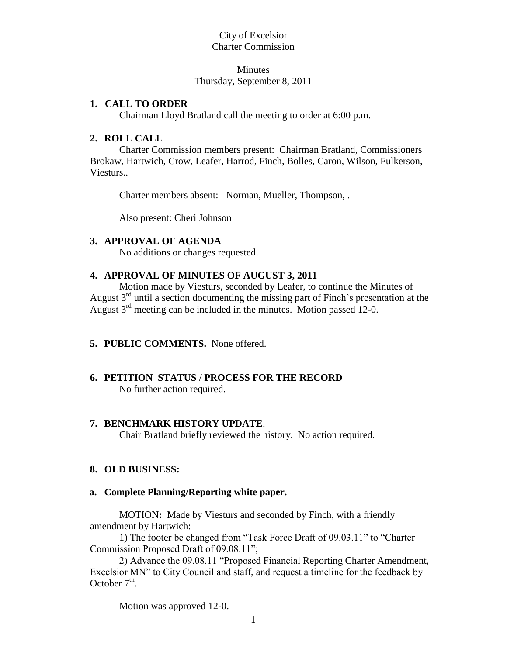## City of Excelsior Charter Commission

#### **Minutes** Thursday, September 8, 2011

#### **1. CALL TO ORDER**

Chairman Lloyd Bratland call the meeting to order at 6:00 p.m.

## **2. ROLL CALL**

Charter Commission members present: Chairman Bratland, Commissioners Brokaw, Hartwich, Crow, Leafer, Harrod, Finch, Bolles, Caron, Wilson, Fulkerson, Viesturs..

Charter members absent: Norman, Mueller, Thompson, .

Also present: Cheri Johnson

## **3. APPROVAL OF AGENDA**

No additions or changes requested.

## **4. APPROVAL OF MINUTES OF AUGUST 3, 2011**

Motion made by Viesturs, seconded by Leafer, to continue the Minutes of August  $3<sup>rd</sup>$  until a section documenting the missing part of Finch's presentation at the August  $3<sup>rd</sup>$  meeting can be included in the minutes. Motion passed 12-0.

## **5. PUBLIC COMMENTS.** None offered.

# **6. PETITION STATUS** / **PROCESS FOR THE RECORD**

No further action required.

## **7. BENCHMARK HISTORY UPDATE**.

Chair Bratland briefly reviewed the history. No action required.

## **8. OLD BUSINESS:**

#### **a. Complete Planning/Reporting white paper.**

MOTION**:** Made by Viesturs and seconded by Finch, with a friendly amendment by Hartwich:

1) The footer be changed from "Task Force Draft of 09.03.11" to "Charter Commission Proposed Draft of 09.08.11";

2) Advance the 09.08.11 "Proposed Financial Reporting Charter Amendment, Excelsior MN" to City Council and staff, and request a timeline for the feedback by October  $7<sup>th</sup>$ .

Motion was approved 12-0.